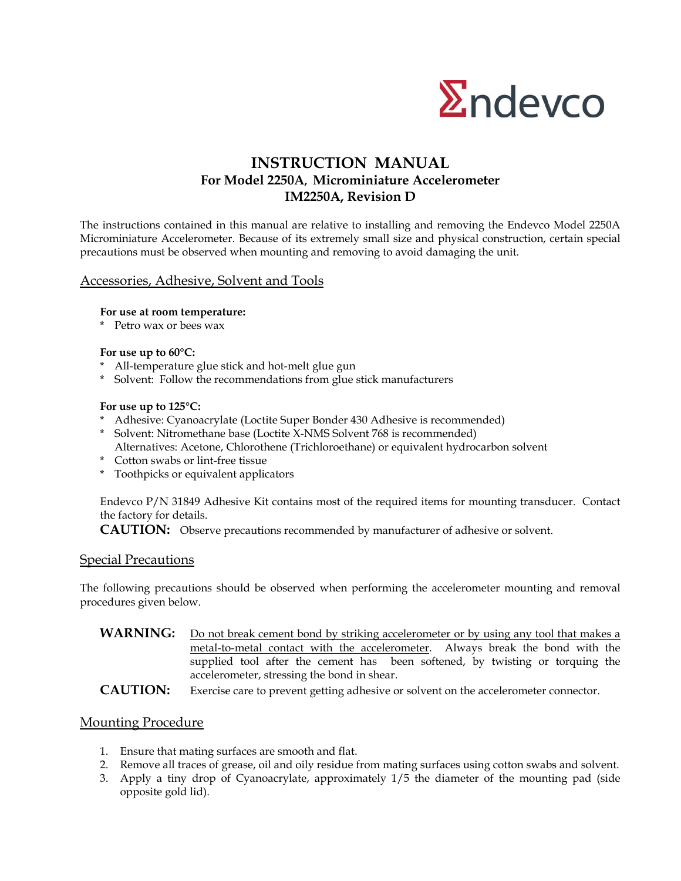

# **INSTRUCTION MANUAL For Model 2250A, Microminiature Accelerometer IM2250A, Revision D**

The instructions contained in this manual are relative to installing and removing the Endevco Model 2250A Microminiature Accelerometer. Because of its extremely small size and physical construction, certain special precautions must be observed when mounting and removing to avoid damaging the unit.

### Accessories, Adhesive, Solvent and Tools

**For use at room temperature:**

\* Petro wax or bees wax

#### **For use up to 60°C:**

- \* All-temperature glue stick and hot-melt glue gun
- \* Solvent: Follow the recommendations from glue stick manufacturers

#### **For use up to 125°C:**

- \* Adhesive: Cyanoacrylate (Loctite Super Bonder 430 Adhesive is recommended)
- \* Solvent: Nitromethane base (Loctite X-NMS Solvent 768 is recommended) Alternatives: Acetone, Chlorothene (Trichloroethane) or equivalent hydrocarbon solvent
- \* Cotton swabs or lint-free tissue
- \* Toothpicks or equivalent applicators

Endevco P/N 31849 Adhesive Kit contains most of the required items for mounting transducer. Contact the factory for details.

**CAUTION:** Observe precautions recommended by manufacturer of adhesive or solvent.

## **Special Precautions**

The following precautions should be observed when performing the accelerometer mounting and removal procedures given below.

WARNING: Do not break cement bond by striking accelerometer or by using any tool that makes a metal-to-metal contact with the accelerometer. Always break the bond with the supplied tool after the cement has been softened, by twisting or torquing the accelerometer, stressing the bond in shear.

**CAUTION:** Exercise care to prevent getting adhesive or solvent on the accelerometer connector.

### Mounting Procedure

- 1. Ensure that mating surfaces are smooth and flat.
- 2. Remove all traces of grease, oil and oily residue from mating surfaces using cotton swabs and solvent.
- 3. Apply a tiny drop of Cyanoacrylate, approximately 1/5 the diameter of the mounting pad (side opposite gold lid).